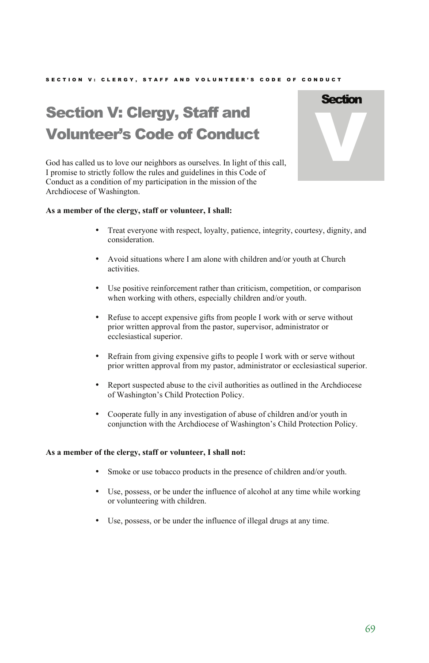## SECTION V: CLERGY, STAFF AND VOLUNTEER'S CODE OF CONDUCT

# Section V: Clergy, Staff and Volunteer's Code of Conduct



God has called us to love our neighbors as ourselves. In light of this call, I promise to strictly follow the rules and guidelines in this Code of Conduct as a condition of my participation in the mission of the Archdiocese of Washington.

## **As a member of the clergy, staff or volunteer, I shall:**

- Treat everyone with respect, loyalty, patience, integrity, courtesy, dignity, and consideration.
- Avoid situations where I am alone with children and/or youth at Church activities.
- Use positive reinforcement rather than criticism, competition, or comparison when working with others, especially children and/or youth.
- Refuse to accept expensive gifts from people I work with or serve without prior written approval from the pastor, supervisor, administrator or ecclesiastical superior.
- Refrain from giving expensive gifts to people I work with or serve without prior written approval from my pastor, administrator or ecclesiastical superior.
- Report suspected abuse to the civil authorities as outlined in the Archdiocese of Washington's Child Protection Policy.
- Cooperate fully in any investigation of abuse of children and/or youth in conjunction with the Archdiocese of Washington's Child Protection Policy.

## **As a member of the clergy, staff or volunteer, I shall not:**

- Smoke or use tobacco products in the presence of children and/or youth.
- Use, possess, or be under the influence of alcohol at any time while working or volunteering with children.
- Use, possess, or be under the influence of illegal drugs at any time.